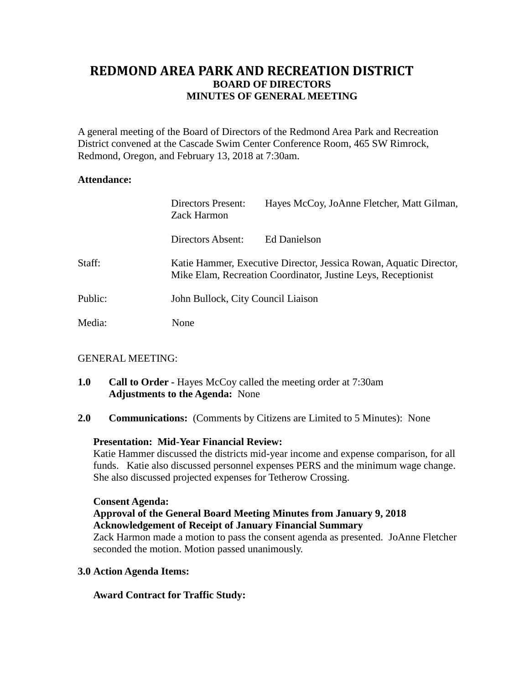# **REDMOND AREA PARK AND RECREATION DISTRICT BOARD OF DIRECTORS MINUTES OF GENERAL MEETING**

A general meeting of the Board of Directors of the Redmond Area Park and Recreation District convened at the Cascade Swim Center Conference Room, 465 SW Rimrock, Redmond, Oregon, and February 13, 2018 at 7:30am.

### **Attendance:**

|         | Directors Present:<br><b>Zack Harmon</b>                                                                                            | Hayes McCoy, JoAnne Fletcher, Matt Gilman, |
|---------|-------------------------------------------------------------------------------------------------------------------------------------|--------------------------------------------|
|         | Directors Absent:                                                                                                                   | Ed Danielson                               |
| Staff:  | Katie Hammer, Executive Director, Jessica Rowan, Aquatic Director,<br>Mike Elam, Recreation Coordinator, Justine Leys, Receptionist |                                            |
| Public: | John Bullock, City Council Liaison                                                                                                  |                                            |
| Media:  | None                                                                                                                                |                                            |

## GENERAL MEETING:

- **1.0 Call to Order -** Hayes McCoy called the meeting order at 7:30am **Adjustments to the Agenda:** None
- **2.0 Communications:** (Comments by Citizens are Limited to 5 Minutes): None

## **Presentation: Mid-Year Financial Review:**

Katie Hammer discussed the districts mid-year income and expense comparison, for all funds. Katie also discussed personnel expenses PERS and the minimum wage change. She also discussed projected expenses for Tetherow Crossing.

#### **Consent Agenda:**

## **Approval of the General Board Meeting Minutes from January 9, 2018 Acknowledgement of Receipt of January Financial Summary**

Zack Harmon made a motion to pass the consent agenda as presented. JoAnne Fletcher seconded the motion. Motion passed unanimously.

#### **3.0 Action Agenda Items:**

## **Award Contract for Traffic Study:**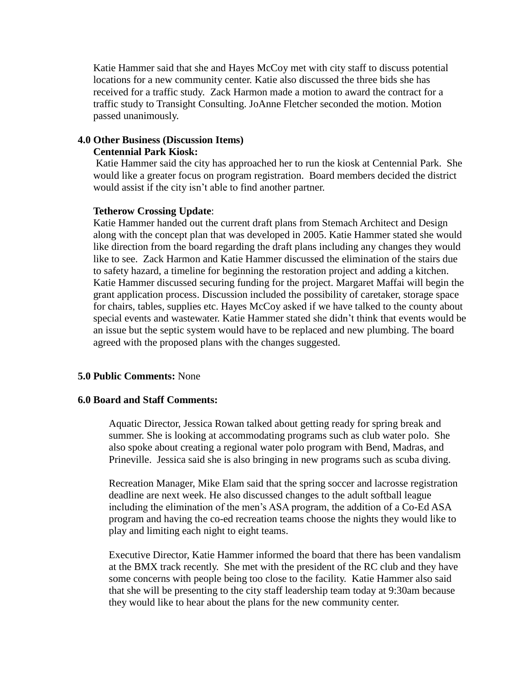Katie Hammer said that she and Hayes McCoy met with city staff to discuss potential locations for a new community center. Katie also discussed the three bids she has received for a traffic study. Zack Harmon made a motion to award the contract for a traffic study to Transight Consulting. JoAnne Fletcher seconded the motion. Motion passed unanimously.

# **4.0 Other Business (Discussion Items)**

## **Centennial Park Kiosk:**

Katie Hammer said the city has approached her to run the kiosk at Centennial Park. She would like a greater focus on program registration. Board members decided the district would assist if the city isn't able to find another partner.

### **Tetherow Crossing Update**:

Katie Hammer handed out the current draft plans from Stemach Architect and Design along with the concept plan that was developed in 2005. Katie Hammer stated she would like direction from the board regarding the draft plans including any changes they would like to see. Zack Harmon and Katie Hammer discussed the elimination of the stairs due to safety hazard, a timeline for beginning the restoration project and adding a kitchen. Katie Hammer discussed securing funding for the project. Margaret Maffai will begin the grant application process. Discussion included the possibility of caretaker, storage space for chairs, tables, supplies etc. Hayes McCoy asked if we have talked to the county about special events and wastewater. Katie Hammer stated she didn't think that events would be an issue but the septic system would have to be replaced and new plumbing. The board agreed with the proposed plans with the changes suggested.

#### **5.0 Public Comments:** None

#### **6.0 Board and Staff Comments:**

Aquatic Director, Jessica Rowan talked about getting ready for spring break and summer. She is looking at accommodating programs such as club water polo. She also spoke about creating a regional water polo program with Bend, Madras, and Prineville. Jessica said she is also bringing in new programs such as scuba diving.

Recreation Manager, Mike Elam said that the spring soccer and lacrosse registration deadline are next week. He also discussed changes to the adult softball league including the elimination of the men's ASA program, the addition of a Co-Ed ASA program and having the co-ed recreation teams choose the nights they would like to play and limiting each night to eight teams.

Executive Director, Katie Hammer informed the board that there has been vandalism at the BMX track recently. She met with the president of the RC club and they have some concerns with people being too close to the facility. Katie Hammer also said that she will be presenting to the city staff leadership team today at 9:30am because they would like to hear about the plans for the new community center.